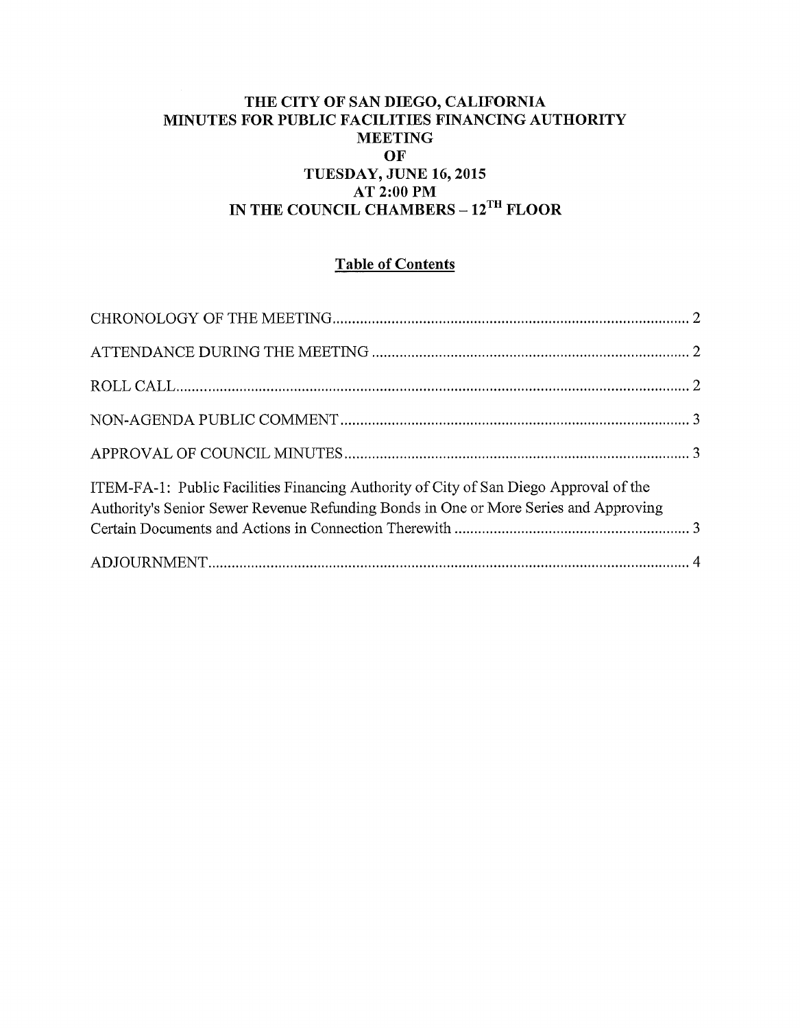#### THE CITY OF SAN DIEGO, CALIFORNIA MINUTES FOR PUBLIC FACILITIES FINANCING AUTHORITY MEETING OF TUESDAY, JUNE 16, 2015 AT 2:00PM IN THE COUNCIL CHAMBERS - 12<sup>TH</sup> FLOOR

### Table of Contents

| ITEM-FA-1: Public Facilities Financing Authority of City of San Diego Approval of the<br>Authority's Senior Sewer Revenue Refunding Bonds in One or More Series and Approving |  |
|-------------------------------------------------------------------------------------------------------------------------------------------------------------------------------|--|
|                                                                                                                                                                               |  |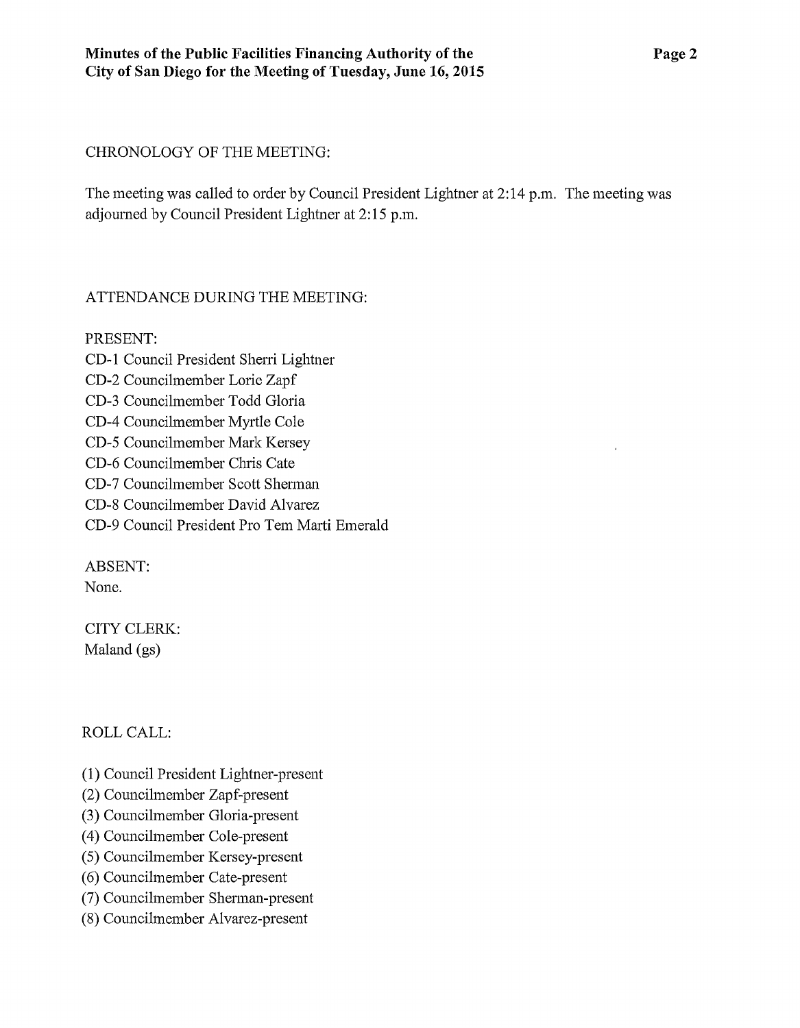#### CHRONOLOGY OF THE MEETING:

The meeting was called to order by Council President Lightner at 2:14 p.m. The meeting was adjoumed by Council President Lightner at 2:15p.m.

### ATTENDANCE DURING THE MEETING:

PRESENT: CD-1 Council President Sheni Lightner CD-2 Councilmember Lorie Zapf CD-3 Councilmember Todd Gloria CD-4 Councilmember Myrtle Cole CD-5 Councilmember Mark Kersey CD-6 Councilmember Chris Cate CD-7 Councilmember Scott Shennan CD-8 Councilmember David Alvarez CD-9 Council President Pro Tem Marti Emerald

ABSENT:

None.

CITY CLERK: Maland (gs)

### ROLL CALL:

- (1) Council President Lightner-present
- (2) Councilmember Zapf-present
- (3) Councilmember Gloria-present
- (4) Councihnember Cole-present
- (5) Councilmember Kersey-present
- (6) Councihnember Cate-present
- (7) Councilmember Shennan-present
- (8) Councilmember Alvarez-present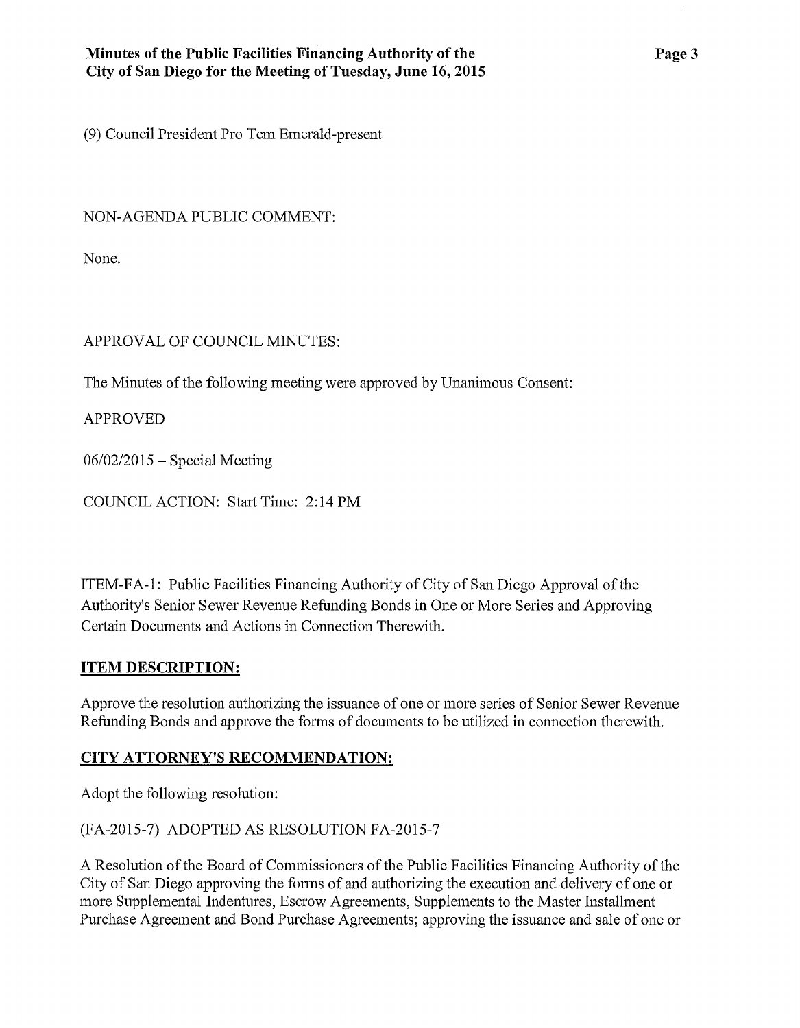(9) Council President Pro Tem Emerald-present

NON-AGENDA PUBLIC COMMENT:

None.

# APPROVAL OF COUNCIL MINUTES:

The Minutes of the following meeting were approved by Unanimous Consent:

APPROVED

 $06/02/2015$  – Special Meeting

COUNCIL ACTION: Start Time: 2:14PM

ITEM-FA -1: Public Facilities Financing Authority of City of San Diego Approval of the Authority's Senior Sewer Revenue Refunding Bonds in One or More Series and Approving Certain Documents and Actions in Connection Therewith.

## **ITEM DESCRIPTION:**

Approve the resolution authorizing the issuance of one or more series of Senior Sewer Revenue Refunding Bonds and approve the forms of documents to be utilized in connection therewith.

## **CITY ATTORNEY'S RECOMMENDATION:**

Adopt the following resolution:

(FA-2015-7) ADOPTED AS RESOLUTION FA-2015-7

A Resolution of the Board of Commissioners of the Public Facilities Financing Authority of the City of San Diego approving the forms of and authorizing the execution and delivery of one or more Supplemental Indentures, Escrow Agreements, Supplements to the Master Installment Purchase Agreement and Bond Purchase Agreements; approving the issuance and sale of one or